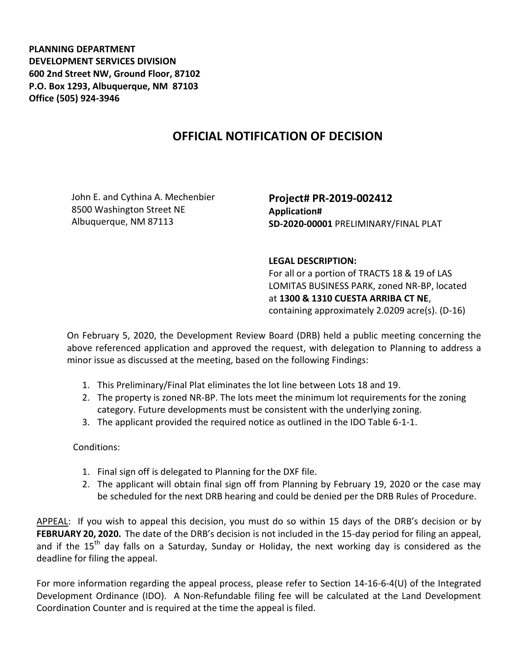**PLANNING DEPARTMENT DEVELOPMENT SERVICES DIVISION 600 2nd Street NW, Ground Floor, 87102 P.O. Box 1293, Albuquerque, NM 87103 Office (505) 924-3946** 

## **OFFICIAL NOTIFICATION OF DECISION**

John E. and Cythina A. Mechenbier 8500 Washington Street NE Albuquerque, NM 87113

**Project# PR-2019-002412 Application# SD-2020-00001** PRELIMINARY/FINAL PLAT

## **LEGAL DESCRIPTION:**

For all or a portion of TRACTS 18 & 19 of LAS LOMITAS BUSINESS PARK, zoned NR-BP, located at **1300 & 1310 CUESTA ARRIBA CT NE**, containing approximately 2.0209 acre(s). (D-16)

On February 5, 2020, the Development Review Board (DRB) held a public meeting concerning the above referenced application and approved the request, with delegation to Planning to address a minor issue as discussed at the meeting, based on the following Findings:

- 1. This Preliminary/Final Plat eliminates the lot line between Lots 18 and 19.
- 2. The property is zoned NR-BP. The lots meet the minimum lot requirements for the zoning category. Future developments must be consistent with the underlying zoning.
- 3. The applicant provided the required notice as outlined in the IDO Table 6-1-1.

Conditions:

- 1. Final sign off is delegated to Planning for the DXF file.
- 2. The applicant will obtain final sign off from Planning by February 19, 2020 or the case may be scheduled for the next DRB hearing and could be denied per the DRB Rules of Procedure.

APPEAL: If you wish to appeal this decision, you must do so within 15 days of the DRB's decision or by **FEBRUARY 20, 2020.** The date of the DRB's decision is not included in the 15-day period for filing an appeal, and if the  $15<sup>th</sup>$  day falls on a Saturday, Sunday or Holiday, the next working day is considered as the deadline for filing the appeal.

For more information regarding the appeal process, please refer to Section 14-16-6-4(U) of the Integrated Development Ordinance (IDO). A Non-Refundable filing fee will be calculated at the Land Development Coordination Counter and is required at the time the appeal is filed.